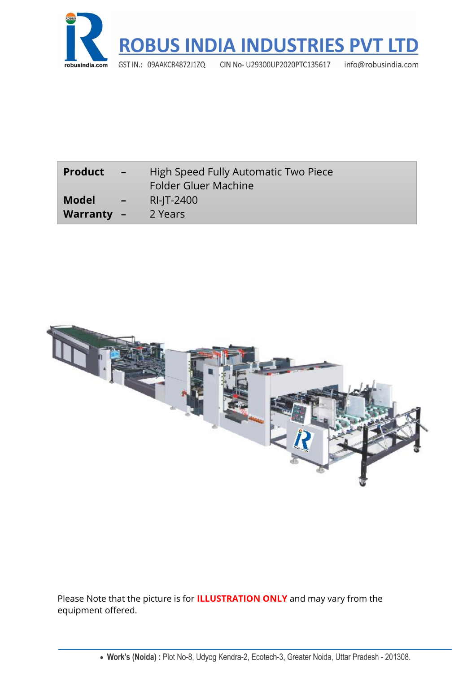

| <b>Product</b>                                            | High Speed Fully Automatic Two Piece |
|-----------------------------------------------------------|--------------------------------------|
| $\angle$ $ \angle$                                        | <b>Folder Gluer Machine</b>          |
| <b>Model</b><br>$\mathcal{L} = \mathcal{V}$<br>Warranty - | RI-JT-2400<br>2 Years                |



Please Note that the picture is for **ILLUSTRATION ONLY** and may vary from the equipment offered.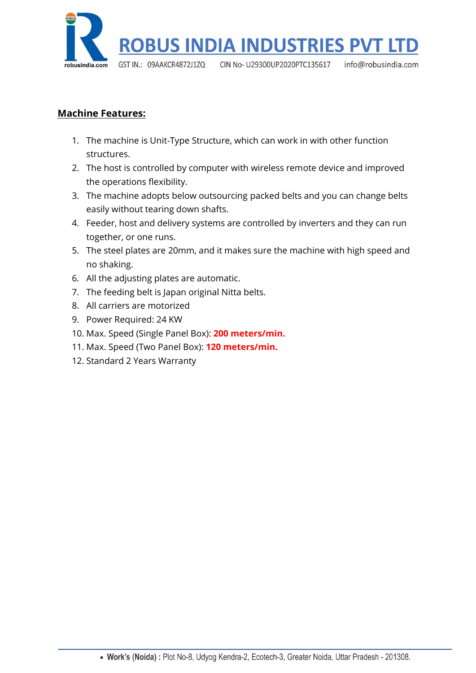

## **Machine Features:**

- 1. The machine is Unit-Type Structure, which can work in with other function structures.
- 2. The host is controlled by computer with wireless remote device and improved the operations flexibility.
- 3. The machine adopts below outsourcing packed belts and you can change belts easily without tearing down shafts.
- 4. Feeder, host and delivery systems are controlled by inverters and they can run together, or one runs.
- 5. The steel plates are 20mm, and it makes sure the machine with high speed and no shaking.
- 6. All the adjusting plates are automatic.
- 7. The feeding belt is Japan original Nitta belts.
- 8. All carriers are motorized
- 9. Power Required: 24 KW
- 10. Max. Speed (Single Panel Box): **200 meters/min.**
- 11. Max. Speed (Two Panel Box): **120 meters/min.**
- 12. Standard 2 Years Warranty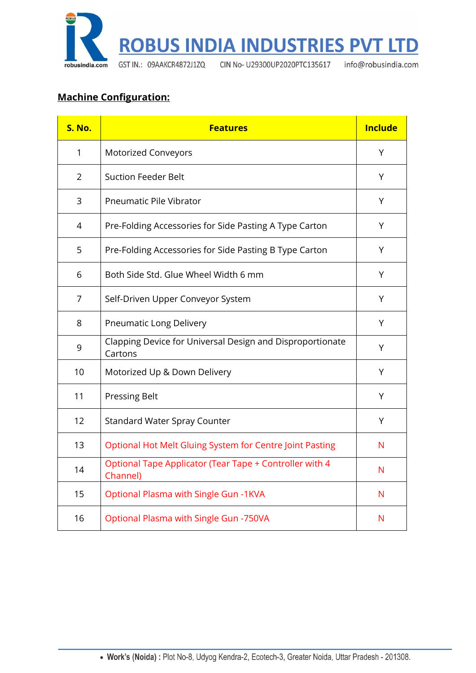

# **Machine Configuration:**

| S. No.         | <b>Features</b>                                                      | <b>Include</b> |
|----------------|----------------------------------------------------------------------|----------------|
| 1              | <b>Motorized Conveyors</b>                                           | Υ              |
| $\overline{2}$ | <b>Suction Feeder Belt</b>                                           | Y              |
| 3              | Pneumatic Pile Vibrator                                              | Y              |
| 4              | Pre-Folding Accessories for Side Pasting A Type Carton               | Y              |
| 5              | Pre-Folding Accessories for Side Pasting B Type Carton               | Υ              |
| 6              | Both Side Std. Glue Wheel Width 6 mm                                 | Y              |
| $\overline{7}$ | Self-Driven Upper Conveyor System                                    | Y              |
| 8              | Pneumatic Long Delivery                                              | Υ              |
| 9              | Clapping Device for Universal Design and Disproportionate<br>Cartons | Υ              |
| 10             | Motorized Up & Down Delivery                                         | Υ              |
| 11             | <b>Pressing Belt</b>                                                 | Y              |
| 12             | <b>Standard Water Spray Counter</b>                                  | Υ              |
| 13             | Optional Hot Melt Gluing System for Centre Joint Pasting             | N              |
| 14             | Optional Tape Applicator (Tear Tape + Controller with 4<br>Channel)  | N              |
| 15             | <b>Optional Plasma with Single Gun -1KVA</b>                         | N              |
| 16             | Optional Plasma with Single Gun -750VA                               | N              |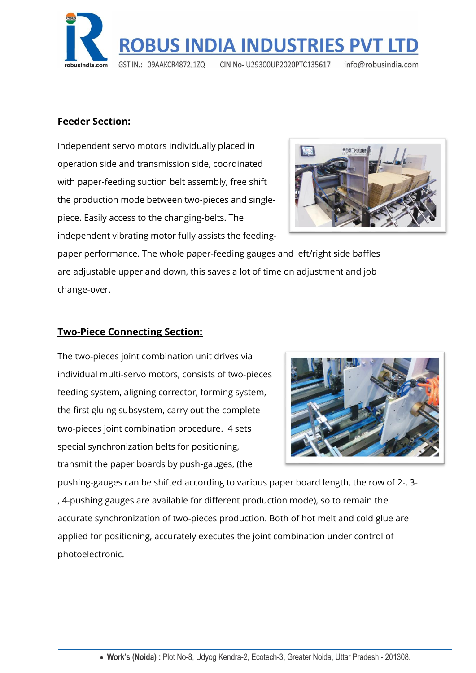

## **Feeder Section:**

Independent servo motors individually placed in operation side and transmission side, coordinated with paper-feeding suction belt assembly, free shift the production mode between two-pieces and singlepiece. Easily access to the changing-belts. The independent vibrating motor fully assists the feeding-



paper performance. The whole paper-feeding gauges and left/right side baffles are adjustable upper and down, this saves a lot of time on adjustment and job change-over.

### **Two-Piece Connecting Section:**

The two-pieces joint combination unit drives via individual multi-servo motors, consists of two-pieces feeding system, aligning corrector, forming system, the first gluing subsystem, carry out the complete two-pieces joint combination procedure. 4 sets special synchronization belts for positioning, transmit the paper boards by push-gauges, (the



pushing-gauges can be shifted according to various paper board length, the row of 2-, 3- , 4-pushing gauges are available for different production mode), so to remain the accurate synchronization of two-pieces production. Both of hot melt and cold glue are applied for positioning, accurately executes the joint combination under control of photoelectronic.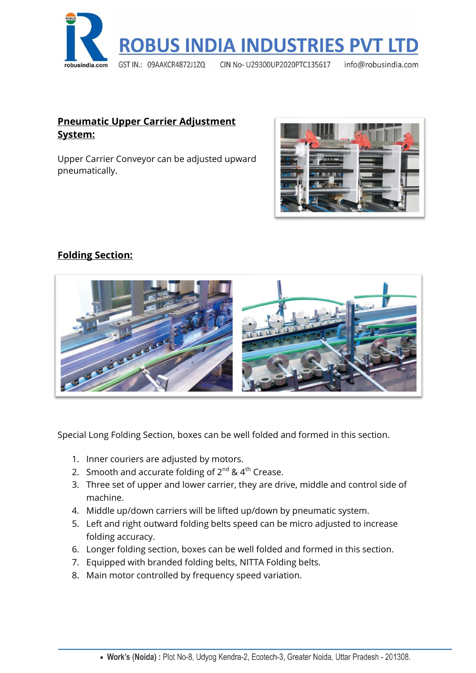

## **Pneumatic Upper Carrier Adjustment System:**

Upper Carrier Conveyor can be adjusted upward pneumatically.



## **Folding Section:**



Special Long Folding Section, boxes can be well folded and formed in this section.

- 1. Inner couriers are adjusted by motors.
- 2. Smooth and accurate folding of  $2^{nd}$  &  $4^{th}$  Crease.
- 3. Three set of upper and lower carrier, they are drive, middle and control side of machine.
- 4. Middle up/down carriers will be lifted up/down by pneumatic system.
- 5. Left and right outward folding belts speed can be micro adjusted to increase folding accuracy.
- 6. Longer folding section, boxes can be well folded and formed in this section.
- 7. Equipped with branded folding belts, NITTA Folding belts.
- 8. Main motor controlled by frequency speed variation.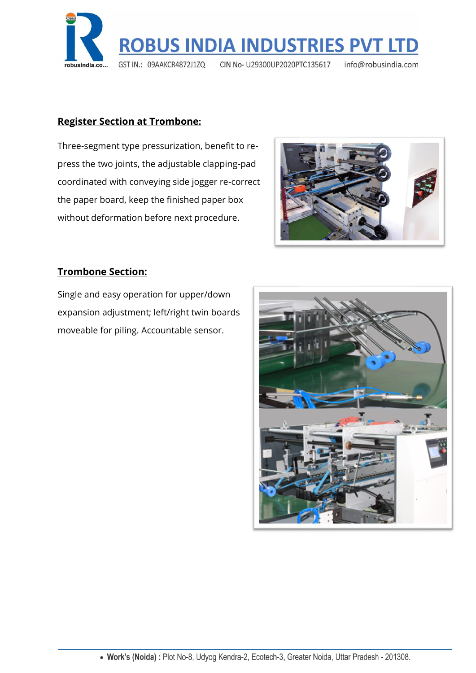

#### **Register Section at Trombone:**

Three-segment type pressurization, benefit to repress the two joints, the adjustable clapping-pad coordinated with conveying side jogger re-correct the paper board, keep the finished paper box without deformation before next procedure.



## **Trombone Section:**

Single and easy operation for upper/down expansion adjustment; left/right twin boards moveable for piling. Accountable sensor.

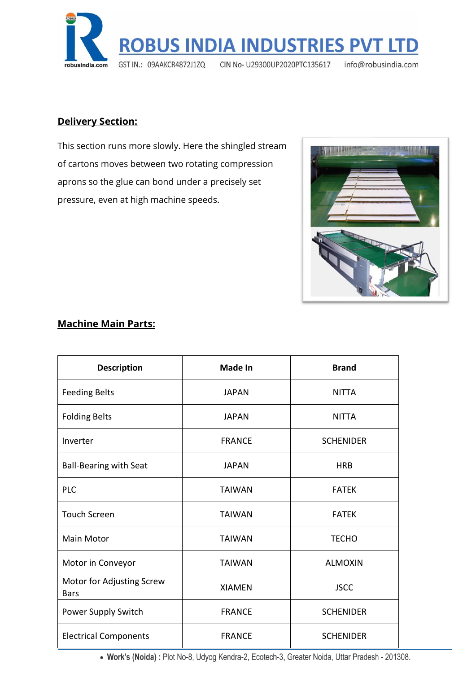

## **Delivery Section:**

This section runs more slowly. Here the shingled stream of cartons moves between two rotating compression aprons so the glue can bond under a precisely set pressure, even at high machine speeds.



#### **Machine Main Parts:**

| <b>Description</b>                       | <b>Made In</b> | <b>Brand</b>     |
|------------------------------------------|----------------|------------------|
| <b>Feeding Belts</b>                     | <b>JAPAN</b>   | <b>NITTA</b>     |
| <b>Folding Belts</b>                     | <b>JAPAN</b>   | <b>NITTA</b>     |
| Inverter                                 | <b>FRANCE</b>  | <b>SCHENIDER</b> |
| <b>Ball-Bearing with Seat</b>            | <b>JAPAN</b>   | <b>HRB</b>       |
| <b>PLC</b>                               | <b>TAIWAN</b>  | <b>FATEK</b>     |
| <b>Touch Screen</b>                      | <b>TAIWAN</b>  | <b>FATEK</b>     |
| <b>Main Motor</b>                        | <b>TAIWAN</b>  | <b>TECHO</b>     |
| Motor in Conveyor                        | <b>TAIWAN</b>  | <b>ALMOXIN</b>   |
| Motor for Adjusting Screw<br><b>Bars</b> | <b>XIAMEN</b>  | <b>JSCC</b>      |
| Power Supply Switch                      | <b>FRANCE</b>  | <b>SCHENIDER</b> |
| <b>Electrical Components</b>             | <b>FRANCE</b>  | <b>SCHENIDER</b> |

• Work's (Noida): Plot No-8, Udyog Kendra-2, Ecotech-3, Greater Noida, Uttar Pradesh - 201308.